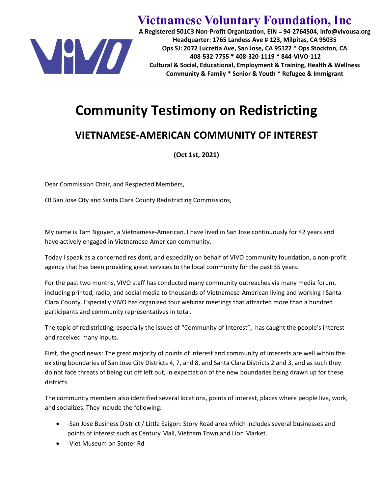

**Vietnamese Voluntary Foundation, Inc**

**A Registered 501C3 Non-Profit Organization, EIN = 94-2764504, info@vivousa.org Headquarter: 1765 Landess Ave # 123, Milpitas, CA 95035 Ops SJ: 2072 Lucretia Ave, San Jose, CA 95122 \* Ops Stockton, CA 408-532-7755 \* 408-320-1119 \* 844-VIVO-112 Cultural & Social, Educational, Employment & Training, Health & Wellness Community & Family \* Senior & Youth \* Refugee & Immigrant**

## **Community Testimony on Redistricting**

## **VIETNAMESE-AMERICAN COMMUNITY OF INTEREST**

**(Oct 1st, 2021)**

Dear Commission Chair, and Respected Members,

Of San Jose City and Santa Clara County Redistricting Commissions,

My name is Tam Nguyen, a Vietnamese-American. I have lived in San Jose continuously for 42 years and have actively engaged in Vietnamese-American community.

Today I speak as a concerned resident, and especially on behalf of VIVO community foundation, a non-profit agency that has been providing great services to the local community for the past 35 years.

For the past two months, VIVO staff has conducted many community outreaches via many media forum, including printed, radio, and social media to thousands of Vietnamese-American living and working I Santa Clara County. Especially VIVO has organized four webinar meetings that attracted more than a hundred participants and community representatives in total.

The topic of redistricting, especially the issues of "Community of Interest", has caught the people's interest and received many inputs.

First, the good news: The great majority of points of interest and community of interests are well within the existing boundaries of San Jose City Districts 4, 7, and 8, and Santa Clara Districts 2 and 3, and as such they do not face threats of being cut off left out, in expectation of the new boundaries being drawn up for these districts.

The community members also identified several locations, points of interest, places where people live, work, and socializes. They include the following:

- -San Jose Business District / Little Saigon: Story Road area which includes several businesses and points of interest such as Century Mall, Vietnam Town and Lion Market.
- -Viet Museum on Senter Rd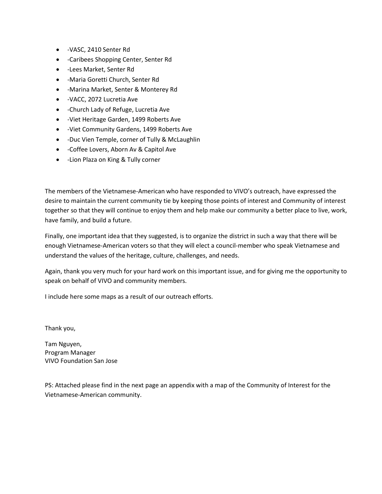- -VASC, 2410 Senter Rd
- -Caribees Shopping Center, Senter Rd
- -Lees Market, Senter Rd
- -Maria Goretti Church, Senter Rd
- -Marina Market, Senter & Monterey Rd
- -VACC, 2072 Lucretia Ave
- -Church Lady of Refuge, Lucretia Ave
- -Viet Heritage Garden, 1499 Roberts Ave
- -Viet Community Gardens, 1499 Roberts Ave
- -Duc Vien Temple, corner of Tully & McLaughlin
- -Coffee Lovers, Aborn Av & Capitol Ave
- -Lion Plaza on King & Tully corner

The members of the Vietnamese-American who have responded to VIVO's outreach, have expressed the desire to maintain the current community tie by keeping those points of interest and Community of interest together so that they will continue to enjoy them and help make our community a better place to live, work, have family, and build a future.

Finally, one important idea that they suggested, is to organize the district in such a way that there will be enough Vietnamese-American voters so that they will elect a council-member who speak Vietnamese and understand the values of the heritage, culture, challenges, and needs.

Again, thank you very much for your hard work on this important issue, and for giving me the opportunity to speak on behalf of VIVO and community members.

I include here some maps as a result of our outreach efforts.

Thank you,

Tam Nguyen, Program Manager VIVO Foundation San Jose

PS: Attached please find in the next page an appendix with a map of the Community of Interest for the Vietnamese-American community.